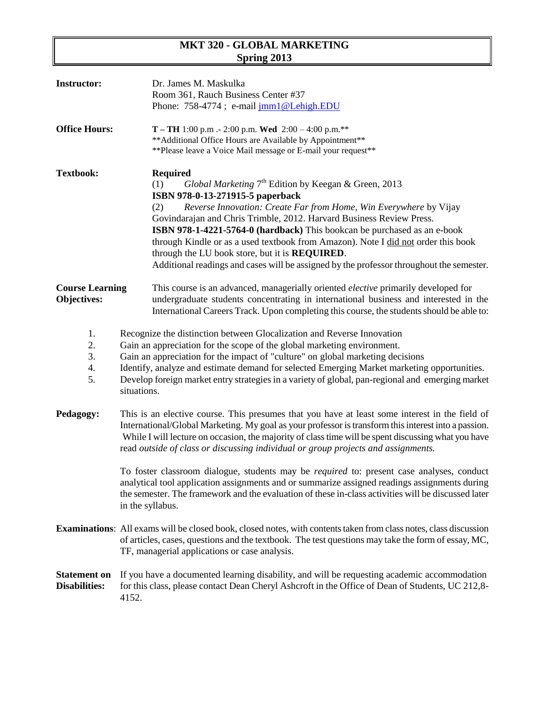# **MKT 320 - GLOBAL MARKETING Spring 2013**

| <b>Instructor:</b>                          | Dr. James M. Maskulka<br>Room 361, Rauch Business Center #37<br>Phone: 758-4774; e-mail jmm1@Lehigh.EDU                                                                                                                                                                                                                                                                                                                                                                                                                                                                                           |  |  |
|---------------------------------------------|---------------------------------------------------------------------------------------------------------------------------------------------------------------------------------------------------------------------------------------------------------------------------------------------------------------------------------------------------------------------------------------------------------------------------------------------------------------------------------------------------------------------------------------------------------------------------------------------------|--|--|
| <b>Office Hours:</b>                        | <b>T</b> – <b>TH</b> 1:00 p.m .- 2:00 p.m. <b>Wed</b> 2:00 – 4:00 p.m.**<br>** Additional Office Hours are Available by Appointment**<br>** Please leave a Voice Mail message or E-mail your request**                                                                                                                                                                                                                                                                                                                                                                                            |  |  |
| <b>Textbook:</b>                            | <b>Required</b><br>Global Marketing 7 <sup>th</sup> Edition by Keegan & Green, 2013<br>(1)<br>ISBN 978-0-13-271915-5 paperback<br>Reverse Innovation: Create Far from Home, Win Everywhere by Vijay<br>(2)<br>Govindarajan and Chris Trimble, 2012. Harvard Business Review Press.<br>ISBN 978-1-4221-5764-0 (hardback) This bookcan be purchased as an e-book<br>through Kindle or as a used textbook from Amazon). Note I did not order this book<br>through the LU book store, but it is REQUIRED.<br>Additional readings and cases will be assigned by the professor throughout the semester. |  |  |
| <b>Course Learning</b><br>Objectives:       | This course is an advanced, managerially oriented <i>elective</i> primarily developed for<br>undergraduate students concentrating in international business and interested in the<br>International Careers Track. Upon completing this course, the students should be able to:                                                                                                                                                                                                                                                                                                                    |  |  |
| 1.<br>2.<br>3.<br>4.<br>5.                  | Recognize the distinction between Glocalization and Reverse Innovation<br>Gain an appreciation for the scope of the global marketing environment.<br>Gain an appreciation for the impact of "culture" on global marketing decisions<br>Identify, analyze and estimate demand for selected Emerging Market marketing opportunities.<br>Develop foreign market entry strategies in a variety of global, pan-regional and emerging market<br>situations.                                                                                                                                             |  |  |
| Pedagogy:                                   | This is an elective course. This presumes that you have at least some interest in the field of<br>International/Global Marketing. My goal as your professor is transform this interest into a passion.<br>While I will lecture on occasion, the majority of class time will be spent discussing what you have<br>read outside of class or discussing individual or group projects and assignments.                                                                                                                                                                                                |  |  |
|                                             | To foster classroom dialogue, students may be <i>required</i> to: present case analyses, conduct<br>analytical tool application assignments and or summarize assigned readings assignments during<br>the semester. The framework and the evaluation of these in-class activities will be discussed later<br>in the syllabus.                                                                                                                                                                                                                                                                      |  |  |
|                                             | <b>Examinations:</b> All exams will be closed book, closed notes, with contents taken from class notes, class discussion<br>of articles, cases, questions and the textbook. The test questions may take the form of essay, MC,<br>TF, managerial applications or case analysis.                                                                                                                                                                                                                                                                                                                   |  |  |
| <b>Statement on</b><br><b>Disabilities:</b> | If you have a documented learning disability, and will be requesting academic accommodation<br>for this class, please contact Dean Cheryl Ashcroft in the Office of Dean of Students, UC 212,8-<br>4152.                                                                                                                                                                                                                                                                                                                                                                                          |  |  |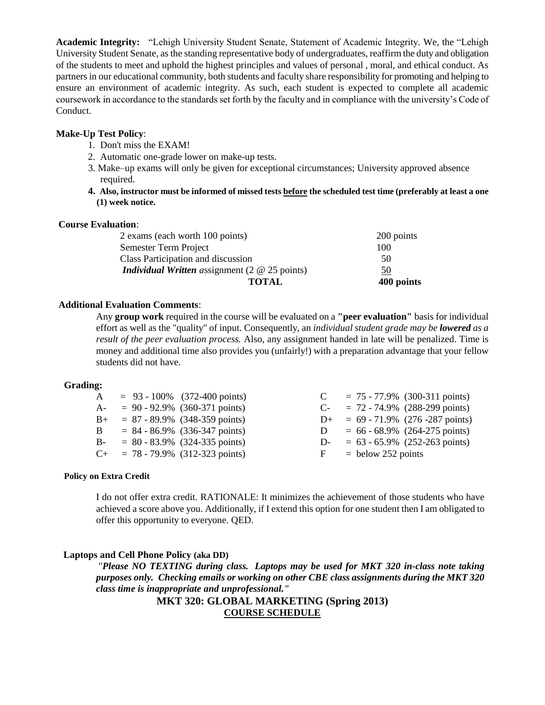**Academic Integrity:** "Lehigh University Student Senate, Statement of Academic Integrity. We, the "Lehigh University Student Senate, as the standing representative body of undergraduates, reaffirm the duty and obligation of the students to meet and uphold the highest principles and values of personal , moral, and ethical conduct. As partners in our educational community, both students and faculty share responsibility for promoting and helping to ensure an environment of academic integrity. As such, each student is expected to complete all academic coursework in accordance to the standards set forth by the faculty and in compliance with the university's Code of Conduct.

#### **Make-Up Test Policy**:

- 1. Don't miss the EXAM!
- 2. Automatic one-grade lower on make-up tests.
- 3. Make–up exams will only be given for exceptional circumstances; University approved absence required.
- **4. Also, instructor must be informed of missed tests before the scheduled test time (preferably at least a one (1) week notice.**

#### **Course Evaluation**:

| 2 exams (each worth 100 points)                                  | 200 points |
|------------------------------------------------------------------|------------|
| Semester Term Project                                            | 100        |
| Class Participation and discussion                               | 50         |
| <i>Individual Written assignment</i> $(2 \tQ 25 \text{ points})$ | 50         |
| <b>TOTAL</b>                                                     | 400 points |

#### **Additional Evaluation Comments**:

Any **group work** required in the course will be evaluated on a **"peer evaluation"** basis for individual effort as well as the "quality" of input. Consequently, an *individual student grade may be lowered as a result of the peer evaluation process.* Also, any assignment handed in late will be penalized. Time is money and additional time also provides you (unfairly!) with a preparation advantage that your fellow students did not have.

#### **Grading:**

|              | $A = 93 - 100\%$ (372-400 points)     |   | $C = 75 - 77.9\%$ (300-311 points)   |
|--------------|---------------------------------------|---|--------------------------------------|
|              | $A- = 90 - 92.9\%$ (360-371 points)   |   | $C = 72 - 74.9\%$ (288-299 points)   |
|              | $B_{+}$ = 87 - 89.9% (348-359 points) |   | $D+ = 69 - 71.9\%$ (276 -287 points) |
| $\mathbf{B}$ | $= 84 - 86.9\%$ (336-347 points)      | D | $= 66 - 68.9\%$ (264-275 points)     |
|              | $B- = 80 - 83.9\%$ (324-335 points)   |   | $D- = 63 - 65.9\%$ (252-263 points)  |
|              | $C_{+}$ = 78 - 79.9% (312-323 points) |   | $F =$ below 252 points               |

#### **Policy on Extra Credit**

I do not offer extra credit. RATIONALE: It minimizes the achievement of those students who have achieved a score above you. Additionally, if I extend this option for one student then I am obligated to offer this opportunity to everyone. QED.

## **Laptops and Cell Phone Policy (aka DD)**

"*Please NO TEXTING during class. Laptops may be used for MKT 320 in-class note taking purposes only. Checking emails or working on other CBE class assignments during the MKT 320 class time is inappropriate and unprofessional."*

## **MKT 320: GLOBAL MARKETING (Spring 2013) COURSE SCHEDULE**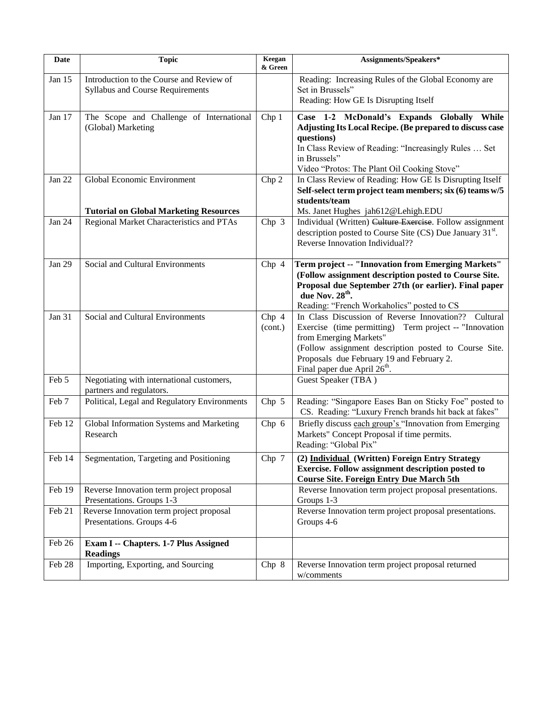| Date          | <b>Topic</b>                                                                 | Keegan<br>& Green | Assignments/Speakers*                                                                                                                                                                                                                                                                         |
|---------------|------------------------------------------------------------------------------|-------------------|-----------------------------------------------------------------------------------------------------------------------------------------------------------------------------------------------------------------------------------------------------------------------------------------------|
| Jan 15        | Introduction to the Course and Review of<br>Syllabus and Course Requirements |                   | Reading: Increasing Rules of the Global Economy are<br>Set in Brussels"<br>Reading: How GE Is Disrupting Itself                                                                                                                                                                               |
| Jan 17        | The Scope and Challenge of International<br>(Global) Marketing               | Chp <sub>1</sub>  | Case 1-2 McDonald's Expands Globally<br>While<br>Adjusting Its Local Recipe. (Be prepared to discuss case<br>questions)<br>In Class Review of Reading: "Increasingly Rules  Set<br>in Brussels"<br>Video "Protos: The Plant Oil Cooking Stove"                                                |
| Jan 22        | Global Economic Environment<br><b>Tutorial on Global Marketing Resources</b> | Chp 2             | In Class Review of Reading: How GE Is Disrupting Itself<br>Self-select term project team members; six (6) teams w/5<br>students/team<br>Ms. Janet Hughes jah612@Lehigh.EDU                                                                                                                    |
| Jan 24        | Regional Market Characteristics and PTAs                                     | Chp $3$           | Individual (Written) Culture Exercise. Follow assignment<br>description posted to Course Site (CS) Due January 31 <sup>st</sup> .<br>Reverse Innovation Individual??                                                                                                                          |
| <b>Jan 29</b> | Social and Cultural Environments                                             | Chp 4             | Term project -- "Innovation from Emerging Markets"<br>(Follow assignment description posted to Course Site.<br>Proposal due September 27th (or earlier). Final paper<br>due Nov. 28 <sup>th</sup> .<br>Reading: "French Workaholics" posted to CS                                             |
| Jan 31        | Social and Cultural Environments                                             | Chp 4<br>(cont.)  | In Class Discussion of Reverse Innovation??<br>Cultural<br>Exercise (time permitting) Term project -- "Innovation<br>from Emerging Markets"<br>(Follow assignment description posted to Course Site.<br>Proposals due February 19 and February 2.<br>Final paper due April 26 <sup>th</sup> . |
| Feb 5         | Negotiating with international customers,<br>partners and regulators.        |                   | Guest Speaker (TBA)                                                                                                                                                                                                                                                                           |
| Feb 7         | Political, Legal and Regulatory Environments                                 | Chp 5             | Reading: "Singapore Eases Ban on Sticky Foe" posted to<br>CS. Reading: "Luxury French brands hit back at fakes"                                                                                                                                                                               |
| Feb 12        | Global Information Systems and Marketing<br>Research                         | Chp 6             | Briefly discuss each group's "Innovation from Emerging<br>Markets" Concept Proposal if time permits.<br>Reading: "Global Pix"                                                                                                                                                                 |
| Feb 14        | Segmentation, Targeting and Positioning                                      | Chp 7             | (2) Individual (Written) Foreign Entry Strategy<br><b>Exercise. Follow assignment description posted to</b><br><b>Course Site. Foreign Entry Due March 5th</b>                                                                                                                                |
| Feb 19        | Reverse Innovation term project proposal<br>Presentations. Groups 1-3        |                   | Reverse Innovation term project proposal presentations.<br>Groups 1-3                                                                                                                                                                                                                         |
| Feb 21        | Reverse Innovation term project proposal<br>Presentations. Groups 4-6        |                   | Reverse Innovation term project proposal presentations.<br>Groups 4-6                                                                                                                                                                                                                         |
| Feb 26        | Exam I -- Chapters. 1-7 Plus Assigned<br><b>Readings</b>                     |                   |                                                                                                                                                                                                                                                                                               |
| Feb 28        | Importing, Exporting, and Sourcing                                           | Chp 8             | Reverse Innovation term project proposal returned<br>w/comments                                                                                                                                                                                                                               |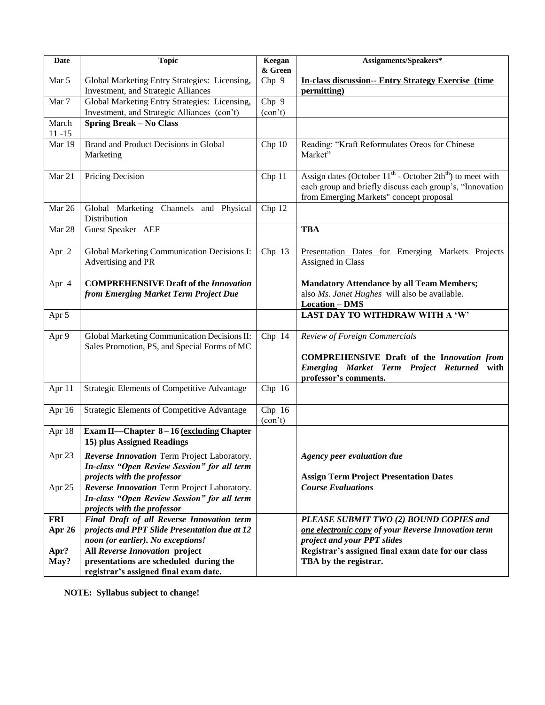| Date                 | <b>Topic</b>                                                                                                                     | Keegan<br>& Green | Assignments/Speakers*                                                                                                                                                      |
|----------------------|----------------------------------------------------------------------------------------------------------------------------------|-------------------|----------------------------------------------------------------------------------------------------------------------------------------------------------------------------|
| Mar 5                | Global Marketing Entry Strategies: Licensing,<br>Investment, and Strategic Alliances                                             | Chp 9             | <b>In-class discussion-- Entry Strategy Exercise (time</b><br>permitting)                                                                                                  |
| Mar 7                | Global Marketing Entry Strategies: Licensing,<br>Investment, and Strategic Alliances (con't)                                     | Chp 9<br>(con't)  |                                                                                                                                                                            |
| March<br>$11 - 15$   | <b>Spring Break - No Class</b>                                                                                                   |                   |                                                                                                                                                                            |
| Mar 19               | Brand and Product Decisions in Global<br>Marketing                                                                               | Chp 10            | Reading: "Kraft Reformulates Oreos for Chinese<br>Market"                                                                                                                  |
| Mar 21               | Pricing Decision                                                                                                                 | Chp 11            | Assign dates (October $11^{th}$ - October $2th^{th}$ ) to meet with<br>each group and briefly discuss each group's, "Innovation<br>from Emerging Markets" concept proposal |
| Mar 26               | Global Marketing Channels and Physical<br>Distribution                                                                           | Chp 12            |                                                                                                                                                                            |
| Mar 28               | Guest Speaker-AEF                                                                                                                |                   | <b>TBA</b>                                                                                                                                                                 |
| Apr 2                | Global Marketing Communication Decisions I:<br>Advertising and PR                                                                | Chp 13            | Presentation Dates for Emerging Markets Projects<br>Assigned in Class                                                                                                      |
| Apr 4                | <b>COMPREHENSIVE Draft of the Innovation</b><br>from Emerging Market Term Project Due                                            |                   | <b>Mandatory Attendance by all Team Members;</b><br>also Ms. Janet Hughes will also be available.<br><b>Location-DMS</b>                                                   |
| Apr 5                |                                                                                                                                  |                   | LAST DAY TO WITHDRAW WITH A 'W'                                                                                                                                            |
| Apr 9                | Global Marketing Communication Decisions II:<br>Sales Promotion, PS, and Special Forms of MC                                     | Chp 14            | Review of Foreign Commercials<br><b>COMPREHENSIVE Draft of the Innovation from</b><br>Emerging Market Term Project Returned with<br>professor's comments.                  |
| Apr 11               | Strategic Elements of Competitive Advantage                                                                                      | Chp 16            |                                                                                                                                                                            |
| Apr 16               | Strategic Elements of Competitive Advantage                                                                                      | Chp 16<br>(con't) |                                                                                                                                                                            |
| Apr 18               | Exam II-Chapter 8-16 (excluding Chapter<br>15) plus Assigned Readings                                                            |                   |                                                                                                                                                                            |
| Apr 23               | Reverse Innovation Term Project Laboratory.<br>In-class "Open Review Session" for all term<br>projects with the professor        |                   | Agency peer evaluation due<br><b>Assign Term Project Presentation Dates</b>                                                                                                |
| Apr 25               | Reverse Innovation Term Project Laboratory.<br>In-class "Open Review Session" for all term<br>projects with the professor        |                   | <b>Course Evaluations</b>                                                                                                                                                  |
| <b>FRI</b><br>Apr 26 | Final Draft of all Reverse Innovation term<br>projects and PPT Slide Presentation due at 12<br>noon (or earlier). No exceptions! |                   | PLEASE SUBMIT TWO (2) BOUND COPIES and<br>one electronic copy of your Reverse Innovation term<br>project and your PPT slides                                               |
| Apr?<br>May?         | All Reverse Innovation project<br>presentations are scheduled during the<br>registrar's assigned final exam date.                |                   | Registrar's assigned final exam date for our class<br>TBA by the registrar.                                                                                                |

**NOTE: Syllabus subject to change!**